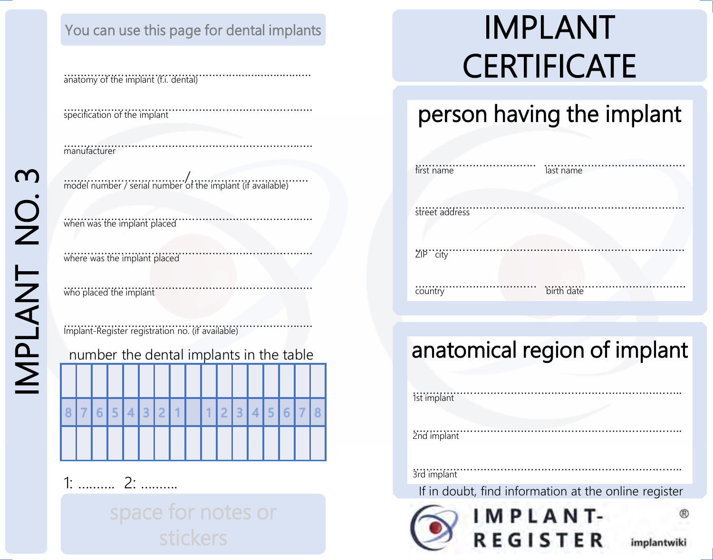## You can use this page for dental implants **IMPLANT**

………………………………………….......................…. anatomy of the implant (f.i. dental)

……………………………………………………………….. specification of the implant

…………………………………………………………….…. manufacturer

………………………………/…………………………….. model number / serial number of the implant (if available)

……………………………………………………………….. when was the implant placed

……………………………………………………………….. where was the implant placed

……………………………………………………………….. who placed the implant

……………………………………………………………….. Implant-Register registration no. (if available)

| number the dental implants in the table |  |  |  |  |  |     |  |         |  |  |  |  |
|-----------------------------------------|--|--|--|--|--|-----|--|---------|--|--|--|--|
|                                         |  |  |  |  |  |     |  |         |  |  |  |  |
|                                         |  |  |  |  |  |     |  |         |  |  |  |  |
|                                         |  |  |  |  |  | 321 |  | 1123456 |  |  |  |  |
|                                         |  |  |  |  |  |     |  |         |  |  |  |  |
|                                         |  |  |  |  |  |     |  |         |  |  |  |  |

1: ………. 2: ……….

# **CERTIFICATE**

## person having the implant

| first name     | last name  |
|----------------|------------|
| street address |            |
| ZIP city       |            |
| country        | birth date |

## anatomical region of implant

| 1st implant                                          |             |
|------------------------------------------------------|-------------|
| 2nd implant                                          |             |
| 3rd implant                                          |             |
| If in doubt, find information at the online register |             |
| IMPLANT-                                             |             |
| <b>REGISTER</b>                                      | implantwiki |